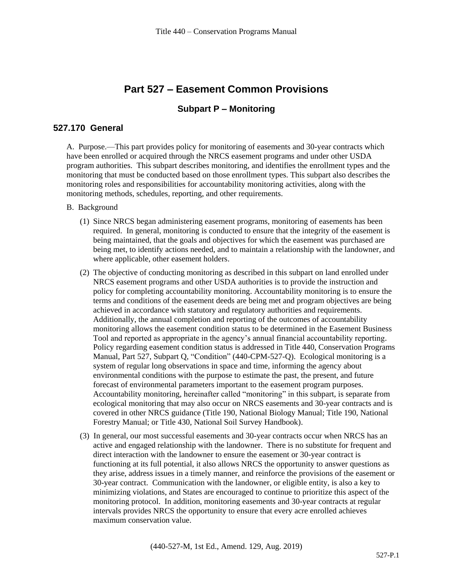# **Part 527 – Easement Common Provisions**

#### **Subpart P – Monitoring**

### **527.170 General**

A. Purpose.—This part provides policy for monitoring of easements and 30-year contracts which have been enrolled or acquired through the NRCS easement programs and under other USDA program authorities. This subpart describes monitoring, and identifies the enrollment types and the monitoring that must be conducted based on those enrollment types. This subpart also describes the monitoring roles and responsibilities for accountability monitoring activities, along with the monitoring methods, schedules, reporting, and other requirements.

#### B. Background

- (1) Since NRCS began administering easement programs, monitoring of easements has been required. In general, monitoring is conducted to ensure that the integrity of the easement is being maintained, that the goals and objectives for which the easement was purchased are being met, to identify actions needed, and to maintain a relationship with the landowner, and where applicable, other easement holders.
- (2) The objective of conducting monitoring as described in this subpart on land enrolled under NRCS easement programs and other USDA authorities is to provide the instruction and policy for completing accountability monitoring. Accountability monitoring is to ensure the terms and conditions of the easement deeds are being met and program objectives are being achieved in accordance with statutory and regulatory authorities and requirements. Additionally, the annual completion and reporting of the outcomes of accountability monitoring allows the easement condition status to be determined in the Easement Business Tool and reported as appropriate in the agency's annual financial accountability reporting. Policy regarding easement condition status is addressed in Title 440, Conservation Programs Manual, Part 527, Subpart Q, "Condition" (440-CPM-527-Q). Ecological monitoring is a system of regular long observations in space and time, informing the agency about environmental conditions with the purpose to estimate the past, the present, and future forecast of environmental parameters important to the easement program purposes. Accountability monitoring, hereinafter called "monitoring" in this subpart, is separate from ecological monitoring that may also occur on NRCS easements and 30-year contracts and is covered in other NRCS guidance (Title 190, National Biology Manual; Title 190, National Forestry Manual; or Title 430, National Soil Survey Handbook).
- (3) In general, our most successful easements and 30-year contracts occur when NRCS has an active and engaged relationship with the landowner. There is no substitute for frequent and direct interaction with the landowner to ensure the easement or 30-year contract is functioning at its full potential, it also allows NRCS the opportunity to answer questions as they arise, address issues in a timely manner, and reinforce the provisions of the easement or 30-year contract. Communication with the landowner, or eligible entity, is also a key to minimizing violations, and States are encouraged to continue to prioritize this aspect of the monitoring protocol. In addition, monitoring easements and 30-year contracts at regular intervals provides NRCS the opportunity to ensure that every acre enrolled achieves maximum conservation value.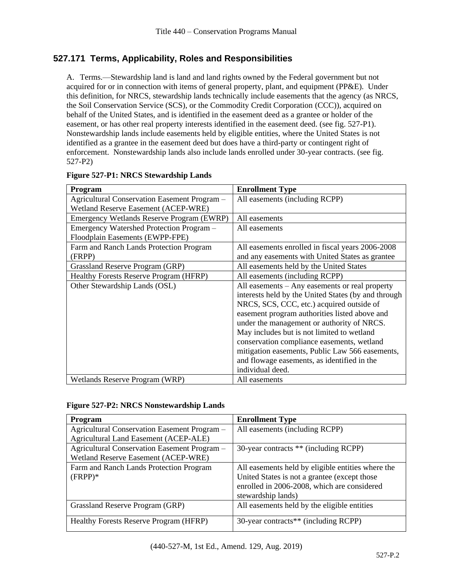## **527.171 Terms, Applicability, Roles and Responsibilities**

A. Terms.—Stewardship land is land and land rights owned by the Federal government but not acquired for or in connection with items of general property, plant, and equipment (PP&E). Under this definition, for NRCS, stewardship lands technically include easements that the agency (as NRCS, the Soil Conservation Service (SCS), or the Commodity Credit Corporation (CCC)), acquired on behalf of the United States, and is identified in the easement deed as a grantee or holder of the easement, or has other real property interests identified in the easement deed. (see fig. 527-P1). Nonstewardship lands include easements held by eligible entities, where the United States is not identified as a grantee in the easement deed but does have a third-party or contingent right of enforcement. Nonstewardship lands also include lands enrolled under 30-year contracts. (see fig. 527-P2)

| Program                                       | <b>Enrollment Type</b>                              |
|-----------------------------------------------|-----------------------------------------------------|
| Agricultural Conservation Easement Program -  | All easements (including RCPP)                      |
| Wetland Reserve Easement (ACEP-WRE)           |                                                     |
| Emergency Wetlands Reserve Program (EWRP)     | All easements                                       |
| Emergency Watershed Protection Program -      | All easements                                       |
| Floodplain Easements (EWPP-FPE)               |                                                     |
| Farm and Ranch Lands Protection Program       | All easements enrolled in fiscal years 2006-2008    |
| (FRPP)                                        | and any easements with United States as grantee     |
| Grassland Reserve Program (GRP)               | All easements held by the United States             |
| <b>Healthy Forests Reserve Program (HFRP)</b> | All easements (including RCPP)                      |
| Other Stewardship Lands (OSL)                 | All easements – Any easements or real property      |
|                                               | interests held by the United States (by and through |
|                                               | NRCS, SCS, CCC, etc.) acquired outside of           |
|                                               | easement program authorities listed above and       |
|                                               | under the management or authority of NRCS.          |
|                                               | May includes but is not limited to wetland          |
|                                               | conservation compliance easements, wetland          |
|                                               | mitigation easements, Public Law 566 easements,     |
|                                               | and flowage easements, as identified in the         |
|                                               | individual deed.                                    |
| Wetlands Reserve Program (WRP)                | All easements                                       |

| <b>Figure 527-P1: NRCS Stewardship Lands</b> |
|----------------------------------------------|
|----------------------------------------------|

#### **Figure 527-P2: NRCS Nonstewardship Lands**

| <b>Enrollment Type</b>                            |
|---------------------------------------------------|
| All easements (including RCPP)                    |
|                                                   |
| 30-year contracts ** (including RCPP)             |
|                                                   |
| All easements held by eligible entities where the |
| United States is not a grantee (except those      |
| enrolled in 2006-2008, which are considered       |
| stewardship lands)                                |
| All easements held by the eligible entities       |
|                                                   |
| 30-year contracts** (including RCPP)              |
|                                                   |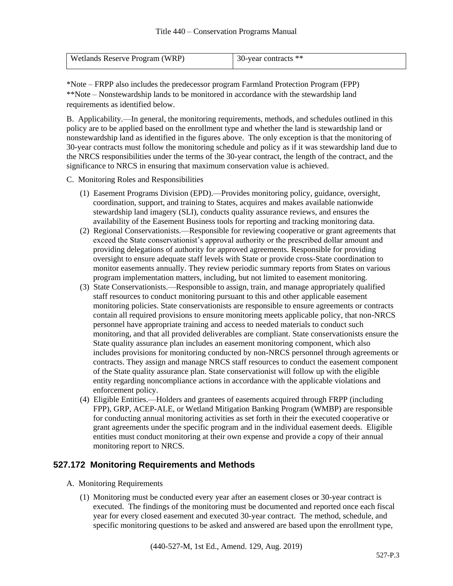| <b>Wetlands Reserve Program (WRP)</b> | 30-year contracts ** |
|---------------------------------------|----------------------|
|                                       |                      |

\*Note – FRPP also includes the predecessor program Farmland Protection Program (FPP) \*\*Note – Nonstewardship lands to be monitored in accordance with the stewardship land requirements as identified below.

B. Applicability.—In general, the monitoring requirements, methods, and schedules outlined in this policy are to be applied based on the enrollment type and whether the land is stewardship land or nonstewardship land as identified in the figures above. The only exception is that the monitoring of 30-year contracts must follow the monitoring schedule and policy as if it was stewardship land due to the NRCS responsibilities under the terms of the 30-year contract, the length of the contract, and the significance to NRCS in ensuring that maximum conservation value is achieved.

C. Monitoring Roles and Responsibilities

- (1) Easement Programs Division (EPD).—Provides monitoring policy, guidance, oversight, coordination, support, and training to States, acquires and makes available nationwide stewardship land imagery (SLI), conducts quality assurance reviews, and ensures the availability of the Easement Business tools for reporting and tracking monitoring data.
- (2) Regional Conservationists.—Responsible for reviewing cooperative or grant agreements that exceed the State conservationist's approval authority or the prescribed dollar amount and providing delegations of authority for approved agreements. Responsible for providing oversight to ensure adequate staff levels with State or provide cross-State coordination to monitor easements annually. They review periodic summary reports from States on various program implementation matters, including, but not limited to easement monitoring.
- (3) State Conservationists.—Responsible to assign, train, and manage appropriately qualified staff resources to conduct monitoring pursuant to this and other applicable easement monitoring policies. State conservationists are responsible to ensure agreements or contracts contain all required provisions to ensure monitoring meets applicable policy, that non-NRCS personnel have appropriate training and access to needed materials to conduct such monitoring, and that all provided deliverables are compliant. State conservationists ensure the State quality assurance plan includes an easement monitoring component, which also includes provisions for monitoring conducted by non-NRCS personnel through agreements or contracts. They assign and manage NRCS staff resources to conduct the easement component of the State quality assurance plan. State conservationist will follow up with the eligible entity regarding noncompliance actions in accordance with the applicable violations and enforcement policy.
- (4) Eligible Entities.—Holders and grantees of easements acquired through FRPP (including FPP), GRP, ACEP-ALE, or Wetland Mitigation Banking Program (WMBP) are responsible for conducting annual monitoring activities as set forth in their the executed cooperative or grant agreements under the specific program and in the individual easement deeds. Eligible entities must conduct monitoring at their own expense and provide a copy of their annual monitoring report to NRCS.

### **527.172 Monitoring Requirements and Methods**

- A. Monitoring Requirements
	- (1) Monitoring must be conducted every year after an easement closes or 30-year contract is executed. The findings of the monitoring must be documented and reported once each fiscal year for every closed easement and executed 30-year contract. The method, schedule, and specific monitoring questions to be asked and answered are based upon the enrollment type,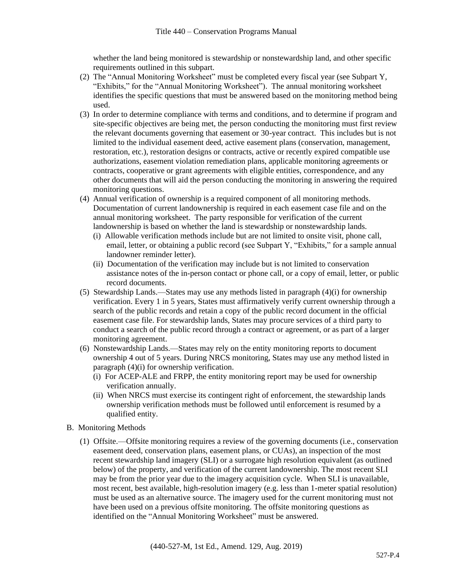whether the land being monitored is stewardship or nonstewardship land, and other specific requirements outlined in this subpart.

- (2) The "Annual Monitoring Worksheet" must be completed every fiscal year (see Subpart Y, "Exhibits," for the "Annual Monitoring Worksheet"). The annual monitoring worksheet identifies the specific questions that must be answered based on the monitoring method being used.
- (3) In order to determine compliance with terms and conditions, and to determine if program and site-specific objectives are being met, the person conducting the monitoring must first review the relevant documents governing that easement or 30-year contract. This includes but is not limited to the individual easement deed, active easement plans (conservation, management, restoration, etc.), restoration designs or contracts, active or recently expired compatible use authorizations, easement violation remediation plans, applicable monitoring agreements or contracts, cooperative or grant agreements with eligible entities, correspondence, and any other documents that will aid the person conducting the monitoring in answering the required monitoring questions.
- (4) Annual verification of ownership is a required component of all monitoring methods. Documentation of current landownership is required in each easement case file and on the annual monitoring worksheet. The party responsible for verification of the current landownership is based on whether the land is stewardship or nonstewardship lands.
	- (i) Allowable verification methods include but are not limited to onsite visit, phone call, email, letter, or obtaining a public record (see Subpart Y, "Exhibits," for a sample annual landowner reminder letter).
	- (ii) Documentation of the verification may include but is not limited to conservation assistance notes of the in-person contact or phone call, or a copy of email, letter, or public record documents.
- (5) Stewardship Lands.—States may use any methods listed in paragraph (4)(i) for ownership verification. Every 1 in 5 years, States must affirmatively verify current ownership through a search of the public records and retain a copy of the public record document in the official easement case file. For stewardship lands, States may procure services of a third party to conduct a search of the public record through a contract or agreement, or as part of a larger monitoring agreement.
- (6) Nonstewardship Lands.—States may rely on the entity monitoring reports to document ownership 4 out of 5 years. During NRCS monitoring, States may use any method listed in paragraph (4)(i) for ownership verification.
	- (i) For ACEP-ALE and FRPP, the entity monitoring report may be used for ownership verification annually.
	- (ii) When NRCS must exercise its contingent right of enforcement, the stewardship lands ownership verification methods must be followed until enforcement is resumed by a qualified entity.
- B. Monitoring Methods
	- (1) Offsite.—Offsite monitoring requires a review of the governing documents (i.e., conservation easement deed, conservation plans, easement plans, or CUAs), an inspection of the most recent stewardship land imagery (SLI) or a surrogate high resolution equivalent (as outlined below) of the property, and verification of the current landownership. The most recent SLI may be from the prior year due to the imagery acquisition cycle. When SLI is unavailable, most recent, best available, high-resolution imagery (e.g. less than 1-meter spatial resolution) must be used as an alternative source. The imagery used for the current monitoring must not have been used on a previous offsite monitoring. The offsite monitoring questions as identified on the "Annual Monitoring Worksheet" must be answered.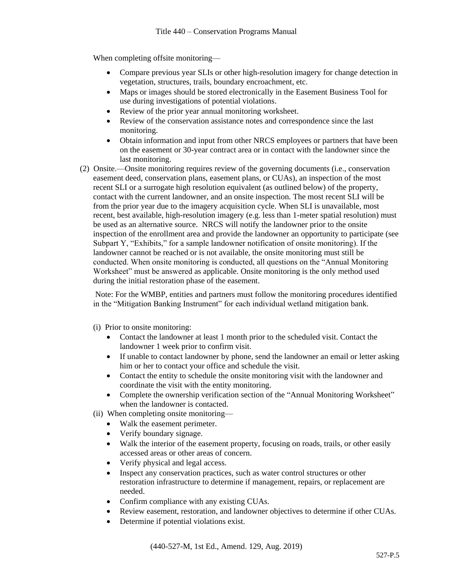When completing offsite monitoring—

- Compare previous year SLIs or other high-resolution imagery for change detection in vegetation, structures, trails, boundary encroachment, etc.
- Maps or images should be stored electronically in the Easement Business Tool for use during investigations of potential violations.
- Review of the prior year annual monitoring worksheet.
- Review of the conservation assistance notes and correspondence since the last monitoring.
- Obtain information and input from other NRCS employees or partners that have been on the easement or 30-year contract area or in contact with the landowner since the last monitoring.
- (2) Onsite.—Onsite monitoring requires review of the governing documents (i.e., conservation easement deed, conservation plans, easement plans, or CUAs), an inspection of the most recent SLI or a surrogate high resolution equivalent (as outlined below) of the property, contact with the current landowner, and an onsite inspection. The most recent SLI will be from the prior year due to the imagery acquisition cycle. When SLI is unavailable, most recent, best available, high-resolution imagery (e.g. less than 1-meter spatial resolution) must be used as an alternative source. NRCS will notify the landowner prior to the onsite inspection of the enrollment area and provide the landowner an opportunity to participate (see Subpart Y, "Exhibits," for a sample landowner notification of onsite monitoring). If the landowner cannot be reached or is not available, the onsite monitoring must still be conducted. When onsite monitoring is conducted, all questions on the "Annual Monitoring Worksheet" must be answered as applicable. Onsite monitoring is the only method used during the initial restoration phase of the easement.

Note: For the WMBP, entities and partners must follow the monitoring procedures identified in the "Mitigation Banking Instrument" for each individual wetland mitigation bank.

- (i) Prior to onsite monitoring:
	- Contact the landowner at least 1 month prior to the scheduled visit. Contact the landowner 1 week prior to confirm visit.
	- If unable to contact landowner by phone, send the landowner an email or letter asking him or her to contact your office and schedule the visit.
	- Contact the entity to schedule the onsite monitoring visit with the landowner and coordinate the visit with the entity monitoring.
	- Complete the ownership verification section of the "Annual Monitoring Worksheet" when the landowner is contacted.
- (ii) When completing onsite monitoring—
	- Walk the easement perimeter.
	- Verify boundary signage.
	- Walk the interior of the easement property, focusing on roads, trails, or other easily accessed areas or other areas of concern.
	- Verify physical and legal access.
	- Inspect any conservation practices, such as water control structures or other restoration infrastructure to determine if management, repairs, or replacement are needed.
	- Confirm compliance with any existing CUAs.
	- Review easement, restoration, and landowner objectives to determine if other CUAs.
	- Determine if potential violations exist.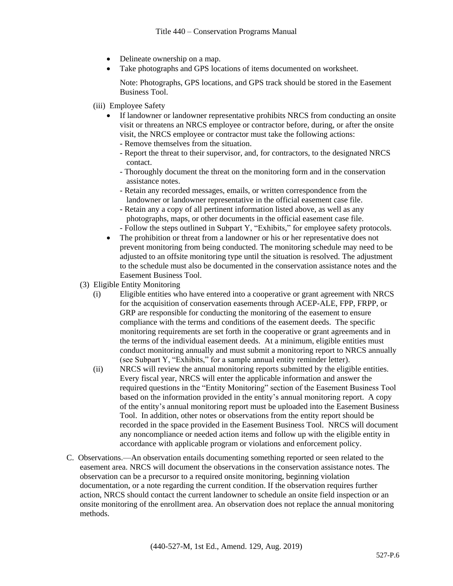- Delineate ownership on a map.
- Take photographs and GPS locations of items documented on worksheet.

Note: Photographs, GPS locations, and GPS track should be stored in the Easement Business Tool.

- (iii) Employee Safety
	- If landowner or landowner representative prohibits NRCS from conducting an onsite visit or threatens an NRCS employee or contractor before, during, or after the onsite visit, the NRCS employee or contractor must take the following actions:
		- Remove themselves from the situation.
		- Report the threat to their supervisor, and, for contractors, to the designated NRCS contact.
		- Thoroughly document the threat on the monitoring form and in the conservation assistance notes.
		- Retain any recorded messages, emails, or written correspondence from the landowner or landowner representative in the official easement case file.
		- Retain any a copy of all pertinent information listed above, as well as any photographs, maps, or other documents in the official easement case file.
		- Follow the steps outlined in Subpart Y, "Exhibits," for employee safety protocols.
	- The prohibition or threat from a landowner or his or her representative does not prevent monitoring from being conducted. The monitoring schedule may need to be adjusted to an offsite monitoring type until the situation is resolved. The adjustment to the schedule must also be documented in the conservation assistance notes and the Easement Business Tool.
- (3) Eligible Entity Monitoring
	- (i) Eligible entities who have entered into a cooperative or grant agreement with NRCS for the acquisition of conservation easements through ACEP-ALE, FPP, FRPP, or GRP are responsible for conducting the monitoring of the easement to ensure compliance with the terms and conditions of the easement deeds. The specific monitoring requirements are set forth in the cooperative or grant agreements and in the terms of the individual easement deeds. At a minimum, eligible entities must conduct monitoring annually and must submit a monitoring report to NRCS annually (see Subpart Y, "Exhibits," for a sample annual entity reminder letter).
	- (ii) NRCS will review the annual monitoring reports submitted by the eligible entities. Every fiscal year, NRCS will enter the applicable information and answer the required questions in the "Entity Monitoring" section of the Easement Business Tool based on the information provided in the entity's annual monitoring report. A copy of the entity's annual monitoring report must be uploaded into the Easement Business Tool. In addition, other notes or observations from the entity report should be recorded in the space provided in the Easement Business Tool. NRCS will document any noncompliance or needed action items and follow up with the eligible entity in accordance with applicable program or violations and enforcement policy.
- C. Observations.—An observation entails documenting something reported or seen related to the easement area. NRCS will document the observations in the conservation assistance notes. The observation can be a precursor to a required onsite monitoring, beginning violation documentation, or a note regarding the current condition. If the observation requires further action, NRCS should contact the current landowner to schedule an onsite field inspection or an onsite monitoring of the enrollment area. An observation does not replace the annual monitoring methods.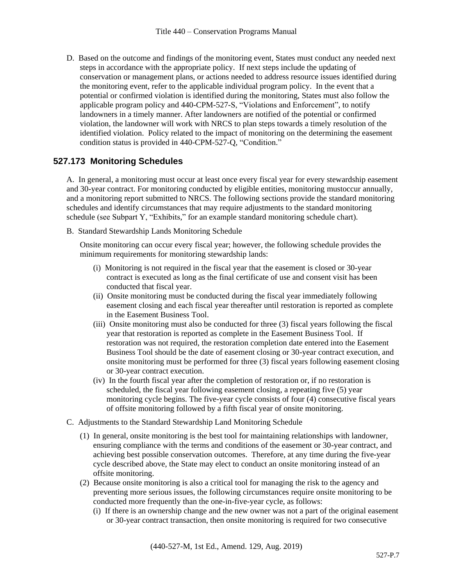D. Based on the outcome and findings of the monitoring event, States must conduct any needed next steps in accordance with the appropriate policy. If next steps include the updating of conservation or management plans, or actions needed to address resource issues identified during the monitoring event, refer to the applicable individual program policy. In the event that a potential or confirmed violation is identified during the monitoring, States must also follow the applicable program policy and 440-CPM-527-S, "Violations and Enforcement", to notify landowners in a timely manner. After landowners are notified of the potential or confirmed violation, the landowner will work with NRCS to plan steps towards a timely resolution of the identified violation. Policy related to the impact of monitoring on the determining the easement condition status is provided in 440-CPM-527-Q, "Condition."

### **527.173 Monitoring Schedules**

A. In general, a monitoring must occur at least once every fiscal year for every stewardship easement and 30-year contract. For monitoring conducted by eligible entities, monitoring mustoccur annually, and a monitoring report submitted to NRCS. The following sections provide the standard monitoring schedules and identify circumstances that may require adjustments to the standard monitoring schedule (see Subpart Y, "Exhibits," for an example standard monitoring schedule chart).

B. Standard Stewardship Lands Monitoring Schedule

Onsite monitoring can occur every fiscal year; however, the following schedule provides the minimum requirements for monitoring stewardship lands:

- (i) Monitoring is not required in the fiscal year that the easement is closed or 30-year contract is executed as long as the final certificate of use and consent visit has been conducted that fiscal year.
- (ii) Onsite monitoring must be conducted during the fiscal year immediately following easement closing and each fiscal year thereafter until restoration is reported as complete in the Easement Business Tool.
- (iii) Onsite monitoring must also be conducted for three (3) fiscal years following the fiscal year that restoration is reported as complete in the Easement Business Tool. If restoration was not required, the restoration completion date entered into the Easement Business Tool should be the date of easement closing or 30-year contract execution, and onsite monitoring must be performed for three (3) fiscal years following easement closing or 30-year contract execution.
- (iv) In the fourth fiscal year after the completion of restoration or, if no restoration is scheduled, the fiscal year following easement closing, a repeating five (5) year monitoring cycle begins. The five-year cycle consists of four (4) consecutive fiscal years of offsite monitoring followed by a fifth fiscal year of onsite monitoring.
- C. Adjustments to the Standard Stewardship Land Monitoring Schedule
	- (1) In general, onsite monitoring is the best tool for maintaining relationships with landowner, ensuring compliance with the terms and conditions of the easement or 30-year contract, and achieving best possible conservation outcomes. Therefore, at any time during the five-year cycle described above, the State may elect to conduct an onsite monitoring instead of an offsite monitoring.
	- (2) Because onsite monitoring is also a critical tool for managing the risk to the agency and preventing more serious issues, the following circumstances require onsite monitoring to be conducted more frequently than the one-in-five-year cycle, as follows:
		- (i) If there is an ownership change and the new owner was not a part of the original easement or 30-year contract transaction, then onsite monitoring is required for two consecutive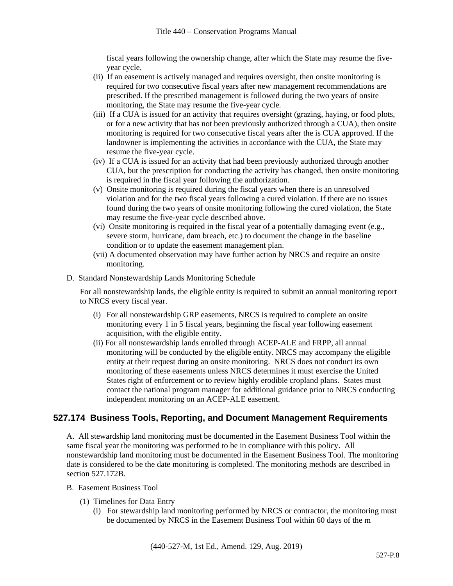fiscal years following the ownership change, after which the State may resume the fiveyear cycle.

- (ii) If an easement is actively managed and requires oversight, then onsite monitoring is required for two consecutive fiscal years after new management recommendations are prescribed. If the prescribed management is followed during the two years of onsite monitoring, the State may resume the five-year cycle.
- (iii) If a CUA is issued for an activity that requires oversight (grazing, haying, or food plots, or for a new activity that has not been previously authorized through a CUA), then onsite monitoring is required for two consecutive fiscal years after the is CUA approved. If the landowner is implementing the activities in accordance with the CUA, the State may resume the five-year cycle.
- (iv) If a CUA is issued for an activity that had been previously authorized through another CUA, but the prescription for conducting the activity has changed, then onsite monitoring is required in the fiscal year following the authorization.
- (v) Onsite monitoring is required during the fiscal years when there is an unresolved violation and for the two fiscal years following a cured violation. If there are no issues found during the two years of onsite monitoring following the cured violation, the State may resume the five-year cycle described above.
- (vi) Onsite monitoring is required in the fiscal year of a potentially damaging event (e.g., severe storm, hurricane, dam breach, etc.) to document the change in the baseline condition or to update the easement management plan.
- (vii) A documented observation may have further action by NRCS and require an onsite monitoring.
- D. Standard Nonstewardship Lands Monitoring Schedule

For all nonstewardship lands, the eligible entity is required to submit an annual monitoring report to NRCS every fiscal year.

- (i) For all nonstewardship GRP easements, NRCS is required to complete an onsite monitoring every 1 in 5 fiscal years, beginning the fiscal year following easement acquisition, with the eligible entity.
- (ii) For all nonstewardship lands enrolled through ACEP-ALE and FRPP, all annual monitoring will be conducted by the eligible entity. NRCS may accompany the eligible entity at their request during an onsite monitoring. NRCS does not conduct its own monitoring of these easements unless NRCS determines it must exercise the United States right of enforcement or to review highly erodible cropland plans. States must contact the national program manager for additional guidance prior to NRCS conducting independent monitoring on an ACEP-ALE easement.

## **527.174 Business Tools, Reporting, and Document Management Requirements**

A. All stewardship land monitoring must be documented in the Easement Business Tool within the same fiscal year the monitoring was performed to be in compliance with this policy. All nonstewardship land monitoring must be documented in the Easement Business Tool. The monitoring date is considered to be the date monitoring is completed. The monitoring methods are described in section 527.172B.

- B. Easement Business Tool
	- (1) Timelines for Data Entry
		- (i) For stewardship land monitoring performed by NRCS or contractor, the monitoring must be documented by NRCS in the Easement Business Tool within 60 days of the m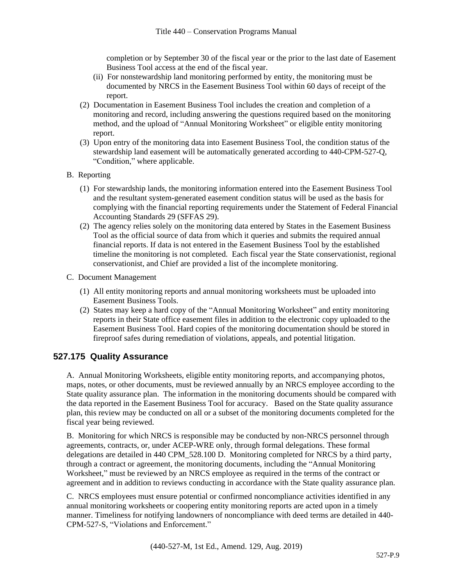completion or by September 30 of the fiscal year or the prior to the last date of Easement Business Tool access at the end of the fiscal year.

- (ii) For nonstewardship land monitoring performed by entity, the monitoring must be documented by NRCS in the Easement Business Tool within 60 days of receipt of the report.
- (2) Documentation in Easement Business Tool includes the creation and completion of a monitoring and record, including answering the questions required based on the monitoring method, and the upload of "Annual Monitoring Worksheet" or eligible entity monitoring report.
- (3) Upon entry of the monitoring data into Easement Business Tool, the condition status of the stewardship land easement will be automatically generated according to 440-CPM-527-Q, "Condition," where applicable.
- B. Reporting
	- (1) For stewardship lands, the monitoring information entered into the Easement Business Tool and the resultant system-generated easement condition status will be used as the basis for complying with the financial reporting requirements under the Statement of Federal Financial Accounting Standards 29 (SFFAS 29).
	- (2) The agency relies solely on the monitoring data entered by States in the Easement Business Tool as the official source of data from which it queries and submits the required annual financial reports. If data is not entered in the Easement Business Tool by the established timeline the monitoring is not completed. Each fiscal year the State conservationist, regional conservationist, and Chief are provided a list of the incomplete monitoring.
- C. Document Management
	- (1) All entity monitoring reports and annual monitoring worksheets must be uploaded into Easement Business Tools.
	- (2) States may keep a hard copy of the "Annual Monitoring Worksheet" and entity monitoring reports in their State office easement files in addition to the electronic copy uploaded to the Easement Business Tool. Hard copies of the monitoring documentation should be stored in fireproof safes during remediation of violations, appeals, and potential litigation.

## **527.175 Quality Assurance**

A. Annual Monitoring Worksheets, eligible entity monitoring reports, and accompanying photos, maps, notes, or other documents, must be reviewed annually by an NRCS employee according to the State quality assurance plan. The information in the monitoring documents should be compared with the data reported in the Easement Business Tool for accuracy. Based on the State quality assurance plan, this review may be conducted on all or a subset of the monitoring documents completed for the fiscal year being reviewed.

B. Monitoring for which NRCS is responsible may be conducted by non-NRCS personnel through agreements, contracts, or, under ACEP-WRE only, through formal delegations. These formal delegations are detailed in 440 CPM\_528.100 D. Monitoring completed for NRCS by a third party, through a contract or agreement, the monitoring documents, including the "Annual Monitoring Worksheet," must be reviewed by an NRCS employee as required in the terms of the contract or agreement and in addition to reviews conducting in accordance with the State quality assurance plan.

C. NRCS employees must ensure potential or confirmed noncompliance activities identified in any annual monitoring worksheets or coopering entity monitoring reports are acted upon in a timely manner. Timeliness for notifying landowners of noncompliance with deed terms are detailed in 440- CPM-527-S, "Violations and Enforcement."